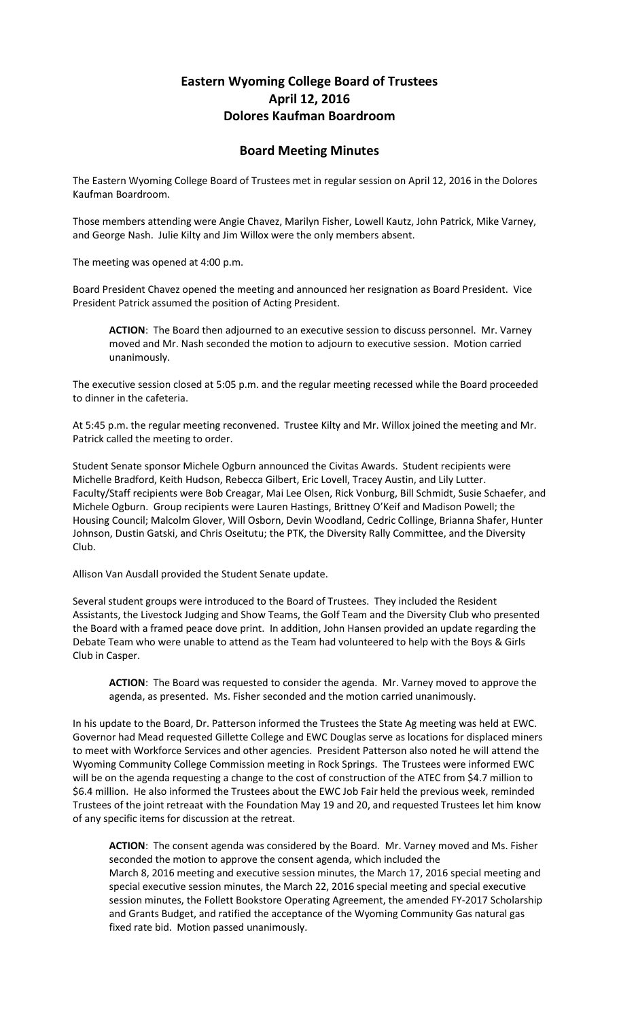## **Eastern Wyoming College Board of Trustees April 12, 2016 Dolores Kaufman Boardroom**

## **Board Meeting Minutes**

The Eastern Wyoming College Board of Trustees met in regular session on April 12, 2016 in the Dolores Kaufman Boardroom.

Those members attending were Angie Chavez, Marilyn Fisher, Lowell Kautz, John Patrick, Mike Varney, and George Nash. Julie Kilty and Jim Willox were the only members absent.

The meeting was opened at 4:00 p.m.

Board President Chavez opened the meeting and announced her resignation as Board President. Vice President Patrick assumed the position of Acting President.

**ACTION**: The Board then adjourned to an executive session to discuss personnel. Mr. Varney moved and Mr. Nash seconded the motion to adjourn to executive session. Motion carried unanimously.

The executive session closed at 5:05 p.m. and the regular meeting recessed while the Board proceeded to dinner in the cafeteria.

At 5:45 p.m. the regular meeting reconvened. Trustee Kilty and Mr. Willox joined the meeting and Mr. Patrick called the meeting to order.

Student Senate sponsor Michele Ogburn announced the Civitas Awards. Student recipients were Michelle Bradford, Keith Hudson, Rebecca Gilbert, Eric Lovell, Tracey Austin, and Lily Lutter. Faculty/Staff recipients were Bob Creagar, Mai Lee Olsen, Rick Vonburg, Bill Schmidt, Susie Schaefer, and Michele Ogburn. Group recipients were Lauren Hastings, Brittney O'Keif and Madison Powell; the Housing Council; Malcolm Glover, Will Osborn, Devin Woodland, Cedric Collinge, Brianna Shafer, Hunter Johnson, Dustin Gatski, and Chris Oseitutu; the PTK, the Diversity Rally Committee, and the Diversity Club.

Allison Van Ausdall provided the Student Senate update.

Several student groups were introduced to the Board of Trustees. They included the Resident Assistants, the Livestock Judging and Show Teams, the Golf Team and the Diversity Club who presented the Board with a framed peace dove print. In addition, John Hansen provided an update regarding the Debate Team who were unable to attend as the Team had volunteered to help with the Boys & Girls Club in Casper.

**ACTION**: The Board was requested to consider the agenda. Mr. Varney moved to approve the agenda, as presented. Ms. Fisher seconded and the motion carried unanimously.

In his update to the Board, Dr. Patterson informed the Trustees the State Ag meeting was held at EWC. Governor had Mead requested Gillette College and EWC Douglas serve as locations for displaced miners to meet with Workforce Services and other agencies. President Patterson also noted he will attend the Wyoming Community College Commission meeting in Rock Springs. The Trustees were informed EWC will be on the agenda requesting a change to the cost of construction of the ATEC from \$4.7 million to \$6.4 million. He also informed the Trustees about the EWC Job Fair held the previous week, reminded Trustees of the joint retreaat with the Foundation May 19 and 20, and requested Trustees let him know of any specific items for discussion at the retreat.

**ACTION**: The consent agenda was considered by the Board. Mr. Varney moved and Ms. Fisher seconded the motion to approve the consent agenda, which included the March 8, 2016 meeting and executive session minutes, the March 17, 2016 special meeting and special executive session minutes, the March 22, 2016 special meeting and special executive session minutes, the Follett Bookstore Operating Agreement, the amended FY-2017 Scholarship and Grants Budget, and ratified the acceptance of the Wyoming Community Gas natural gas fixed rate bid. Motion passed unanimously.